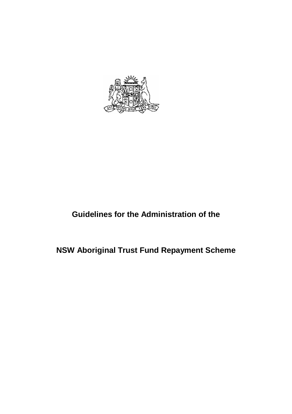

# **Guidelines for the Administration of the**

# **NSW Aboriginal Trust Fund Repayment Scheme**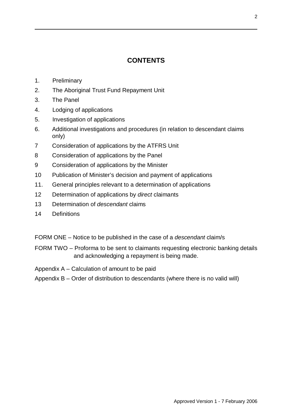# **CONTENTS**

- 1. Preliminary
- 2. The Aboriginal Trust Fund Repayment Unit
- 3. The Panel
- 4. Lodging of applications
- 5. Investigation of applications
- 6. Additional investigations and procedures (in relation to descendant claims only)
- 7 Consideration of applications by the ATFRS Unit
- 8 Consideration of applications by the Panel
- 9 Consideration of applications by the Minister
- 10 Publication of Minister's decision and payment of applications
- 11. General principles relevant to a determination of applications
- 12 Determination of applications by *direct* claimants
- 13 Determination of *descendant* claims
- 14 Definitions
- FORM ONE Notice to be published in the case of a *descendant* claim/s
- FORM TWO Proforma to be sent to claimants requesting electronic banking details and acknowledging a repayment is being made.
- Appendix A Calculation of amount to be paid
- Appendix B Order of distribution to descendants (where there is no valid will)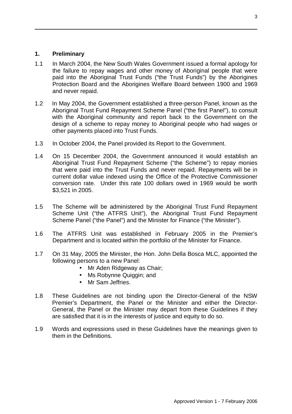#### **1. Preliminary**

- 1.1 In March 2004, the New South Wales Government issued a formal apology for the failure to repay wages and other money of Aboriginal people that were paid into the Aboriginal Trust Funds ("the Trust Funds") by the Aborigines Protection Board and the Aborigines Welfare Board between 1900 and 1969 and never repaid.
- 1.2 In May 2004, the Government established a three-person Panel, known as the Aboriginal Trust Fund Repayment Scheme Panel ("the first Panel"), to consult with the Aboriginal community and report back to the Government on the design of a scheme to repay money to Aboriginal people who had wages or other payments placed into Trust Funds.
- 1.3 In October 2004, the Panel provided its Report to the Government.
- 1.4 On 15 December 2004, the Government announced it would establish an Aboriginal Trust Fund Repayment Scheme ("the Scheme") to repay monies that were paid into the Trust Funds and never repaid. Repayments will be in current dollar value indexed using the Office of the Protective Commissioner conversion rate. Under this rate 100 dollars owed in 1969 would be worth \$3,521 in 2005.
- 1.5 The Scheme will be administered by the Aboriginal Trust Fund Repayment Scheme Unit ("the ATFRS Unit"), the Aboriginal Trust Fund Repayment Scheme Panel ("the Panel") and the Minister for Finance ("the Minister").
- 1.6 The ATFRS Unit was established in February 2005 in the Premier's Department and is located within the portfolio of the Minister for Finance.
- 1.7 On 31 May, 2005 the Minister, the Hon. John Della Bosca MLC, appointed the following persons to a new Panel:
	- Mr Aden Ridgeway as Chair:
	- Ms Robynne Quiggin; and
	- Mr Sam Jeffries.
- 1.8 These Guidelines are not binding upon the Director-General of the NSW Premier's Department, the Panel or the Minister and either the Director-General, the Panel or the Minister may depart from these Guidelines if they are satisfied that it is in the interests of justice and equity to do so.
- 1.9 Words and expressions used in these Guidelines have the meanings given to them in the Definitions.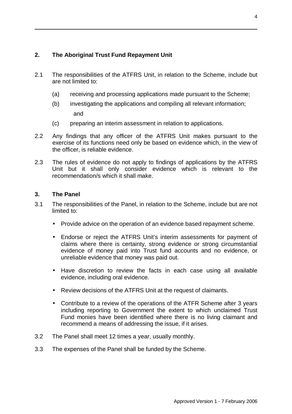# **2. The Aboriginal Trust Fund Repayment Unit**

- 2.1 The responsibilities of the ATFRS Unit, in relation to the Scheme, include but are not limited to:
	- (a) receiving and processing applications made pursuant to the Scheme;
	- (b) investigating the applications and compiling all relevant information; and
	- (c) preparing an interim assessment in relation to applications.
- 2.2 Any findings that any officer of the ATFRS Unit makes pursuant to the exercise of its functions need only be based on evidence which, in the view of the officer, is reliable evidence.
- 2.3 The rules of evidence do not apply to findings of applications by the ATFRS Unit but it shall only consider evidence which is relevant to the recommendation/s which it shall make.

#### **3. The Panel**

- 3.1 The responsibilities of the Panel, in relation to the Scheme, include but are not limited to:
	- Provide advice on the operation of an evidence based repayment scheme.
	- Endorse or reject the ATFRS Unit's interim assessments for payment of claims where there is certainty, strong evidence or strong circumstantial evidence of money paid into Trust fund accounts and no evidence, or unreliable evidence that money was paid out.
	- Have discretion to review the facts in each case using all available evidence, including oral evidence.
	- Review decisions of the ATFRS Unit at the request of claimants.
	- Contribute to a review of the operations of the ATFR Scheme after 3 years including reporting to Government the extent to which unclaimed Trust Fund monies have been identified where there is no living claimant and recommend a means of addressing the issue, if it arises.
- 3.2 The Panel shall meet 12 times a year, usually monthly.
- 3.3 The expenses of the Panel shall be funded by the Scheme.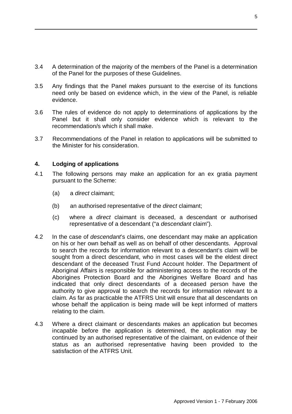- 3.4 A determination of the majority of the members of the Panel is a determination of the Panel for the purposes of these Guidelines.
- 3.5 Any findings that the Panel makes pursuant to the exercise of its functions need only be based on evidence which, in the view of the Panel, is reliable evidence.
- 3.6 The rules of evidence do not apply to determinations of applications by the Panel but it shall only consider evidence which is relevant to the recommendation/s which it shall make.
- 3.7 Recommendations of the Panel in relation to applications will be submitted to the Minister for his consideration.

#### **4. Lodging of applications**

- 4.1 The following persons may make an application for an ex gratia payment pursuant to the Scheme:
	- (a) a *direct* claimant;
	- (b) an authorised representative of the *direct* claimant;
	- (c) where a *direct* claimant is deceased, a descendant or authorised representative of a descendant ("a *descendant* claim").
- 4.2 In the case of *descendant*'s claims, one descendant may make an application on his or her own behalf as well as on behalf of other descendants. Approval to search the records for information relevant to a descendant's claim will be sought from a direct descendant, who in most cases will be the eldest direct descendant of the deceased Trust Fund Account holder. The Department of Aboriginal Affairs is responsible for administering access to the records of the Aborigines Protection Board and the Aborigines Welfare Board and has indicated that only direct descendants of a deceased person have the authority to give approval to search the records for information relevant to a claim. As far as practicable the ATFRS Unit will ensure that all descendants on whose behalf the application is being made will be kept informed of matters relating to the claim.
- 4.3 Where a direct claimant or descendants makes an application but becomes incapable before the application is determined, the application may be continued by an authorised representative of the claimant, on evidence of their status as an authorised representative having been provided to the satisfaction of the ATFRS Unit.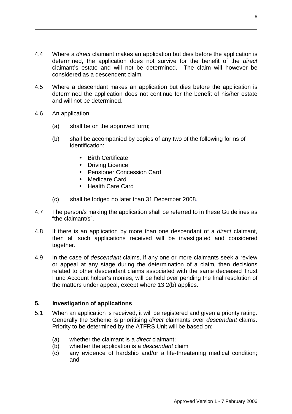- 4.4 Where a *direct* claimant makes an application but dies before the application is determined, the application does not survive for the benefit of the *direct*  claimant's estate and will not be determined. The claim will however be considered as a descendent claim.
- 4.5 Where a descendant makes an application but dies before the application is determined the application does not continue for the benefit of his/her estate and will not be determined.
- 4.6 An application:
	- (a) shall be on the approved form;
	- (b) shall be accompanied by copies of any two of the following forms of identification:
		- Birth Certificate
		- Driving Licence
		- Pensioner Concession Card
		- Medicare Card
		- Health Care Card
	- (c) shall be lodged no later than 31 December 2008.
- 4.7 The person/s making the application shall be referred to in these Guidelines as "the claimant/s".
- 4.8 If there is an application by more than one descendant of a *direct* claimant, then all such applications received will be investigated and considered together.
- 4.9 In the case of *descendant* claims, if any one or more claimants seek a review or appeal at any stage during the determination of a claim, then decisions related to other descendant claims associated with the same deceased Trust Fund Account holder's monies, will be held over pending the final resolution of the matters under appeal, except where 13.2(b) applies.

#### **5. Investigation of applications**

- 5.1 When an application is received, it will be registered and given a priority rating. Generally the Scheme is prioritising *direct* claimants over *descendant* claims. Priority to be determined by the ATFRS Unit will be based on:
	- (a) whether the claimant is a *direct* claimant;
	- (b) whether the application is a *descendant* claim;
	- (c) any evidence of hardship and/or a life-threatening medical condition; and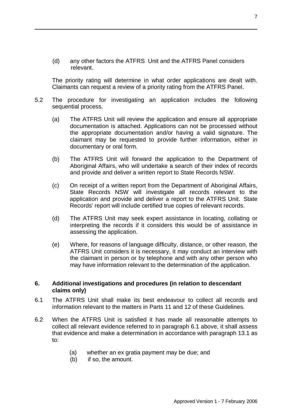(d) any other factors the ATFRS Unit and the ATFRS Panel considers relevant.

The priority rating will determine in what order applications are dealt with. Claimants can request a review of a priority rating from the ATFRS Panel.

- 5.2 The procedure for investigating an application includes the following sequential process.
	- (a) The ATFRS Unit will review the application and ensure all appropriate documentation is attached. Applications can not be processed without the appropriate documentation and/or having a valid signature. The claimant may be requested to provide further information, either in documentary or oral form.
	- (b) The ATFRS Unit will forward the application to the Department of Aboriginal Affairs, who will undertake a search of their index of records and provide and deliver a written report to State Records NSW.
	- (c) On receipt of a written report from the Department of Aboriginal Affairs, State Records NSW will investigate all records relevant to the application and provide and deliver a report to the ATFRS Unit. State Records' report will include certified true copies of relevant records.
	- (d) The ATFRS Unit may seek expert assistance in locating, collating or interpreting the records if it considers this would be of assistance in assessing the application.
	- (e) Where, for reasons of language difficulty, distance, or other reason, the ATFRS Unit considers it is necessary, it may conduct an interview with the claimant in person or by telephone and with any other person who may have information relevant to the determination of the application.

#### **6. Additional investigations and procedures (in relation to descendant claims only)**

- 6.1 The ATFRS Unit shall make its best endeavour to collect all records and information relevant to the matters in Parts 11 and 12 of these Guidelines.
- 6.2 When the ATFRS Unit is satisfied it has made all reasonable attempts to collect all relevant evidence referred to in paragraph 6.1 above, it shall assess that evidence and make a determination in accordance with paragraph 13.1 as to:
	- (a) whether an ex gratia payment may be due; and
	- (b) if so, the amount.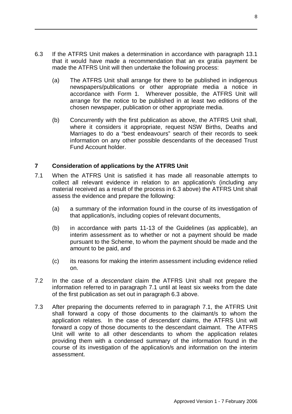- 6.3 If the ATFRS Unit makes a determination in accordance with paragraph 13.1 that it would have made a recommendation that an ex gratia payment be made the ATFRS Unit will then undertake the following process:
	- (a) The ATFRS Unit shall arrange for there to be published in indigenous newspapers/publications or other appropriate media a notice in accordance with Form 1. Wherever possible, the ATFRS Unit will arrange for the notice to be published in at least two editions of the chosen newspaper, publication or other appropriate media.
	- (b) Concurrently with the first publication as above, the ATFRS Unit shall, where it considers it appropriate, request NSW Births, Deaths and Marriages to do a "best endeavours" search of their records to seek information on any other possible descendants of the deceased Trust Fund Account holder.

#### **7 Consideration of applications by the ATFRS Unit**

- 7.1 When the ATFRS Unit is satisfied it has made all reasonable attempts to collect all relevant evidence in relation to an application/s (including any material received as a result of the process in 6.3 above) the ATFRS Unit shall assess the evidence and prepare the following:
	- (a) a summary of the information found in the course of its investigation of that application/s, including copies of relevant documents,
	- (b) in accordance with parts 11-13 of the Guidelines (as applicable), an interim assessment as to whether or not a payment should be made pursuant to the Scheme, to whom the payment should be made and the amount to be paid, and
	- (c) its reasons for making the interim assessment including evidence relied on.
- 7.2 In the case of a *descendant* claim the ATFRS Unit shall not prepare the information referred to in paragraph 7.1 until at least six weeks from the date of the first publication as set out in paragraph 6.3 above.
- 7.3 After preparing the documents referred to in paragraph 7.1, the ATFRS Unit shall forward a copy of those documents to the claimant/s to whom the application relates. In the case of *descendant* claims, the ATFRS Unit will forward a copy of those documents to the descendant claimant. The ATFRS Unit will write to all other descendants to whom the application relates providing them with a condensed summary of the information found in the course of its investigation of the application/s and information on the interim assessment.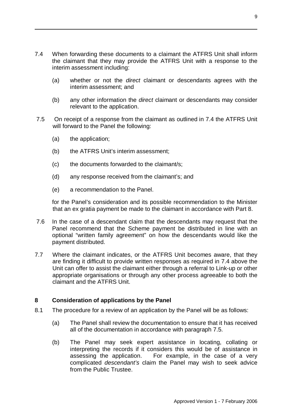- 7.4 When forwarding these documents to a claimant the ATFRS Unit shall inform the claimant that they may provide the ATFRS Unit with a response to the interim assessment including:
	- (a) whether or not the *direct* claimant or descendants agrees with the interim assessment; and
	- (b) any other information the *direct* claimant or descendants may consider relevant to the application.
- 7.5 On receipt of a response from the claimant as outlined in 7.4 the ATFRS Unit will forward to the Panel the following:
	- (a) the application;
	- (b) the ATFRS Unit's interim assessment;
	- (c) the documents forwarded to the claimant/s;
	- (d) any response received from the claimant's; and
	- (e) a recommendation to the Panel.

for the Panel's consideration and its possible recommendation to the Minister that an ex gratia payment be made to the claimant in accordance with Part 8.

- 7.6 In the case of a descendant claim that the descendants may request that the Panel recommend that the Scheme payment be distributed in line with an optional "written family agreement" on how the descendants would like the payment distributed.
- 7.7 Where the claimant indicates, or the ATFRS Unit becomes aware, that they are finding it difficult to provide written responses as required in 7.4 above the Unit can offer to assist the claimant either through a referral to Link-up or other appropriate organisations or through any other process agreeable to both the claimant and the ATFRS Unit.

#### **8 Consideration of applications by the Panel**

- 8.1 The procedure for a review of an application by the Panel will be as follows:
	- (a) The Panel shall review the documentation to ensure that it has received all of the documentation in accordance with paragraph 7.5.
	- (b) The Panel may seek expert assistance in locating, collating or interpreting the records if it considers this would be of assistance in assessing the application. For example, in the case of a very complicated *descendant's* claim the Panel may wish to seek advice from the Public Trustee.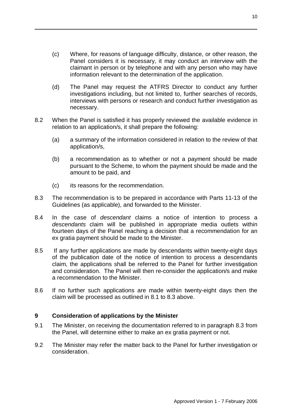- (c) Where, for reasons of language difficulty, distance, or other reason, the Panel considers it is necessary, it may conduct an interview with the claimant in person or by telephone and with any person who may have information relevant to the determination of the application.
- (d) The Panel may request the ATFRS Director to conduct any further investigations including, but not limited to, further searches of records, interviews with persons or research and conduct further investigation as necessary.
- 8.2 When the Panel is satisfied it has properly reviewed the available evidence in relation to an application/s, it shall prepare the following:
	- (a) a summary of the information considered in relation to the review of that application/s,
	- (b) a recommendation as to whether or not a payment should be made pursuant to the Scheme, to whom the payment should be made and the amount to be paid, and
	- (c) its reasons for the recommendation.
- 8.3 The recommendation is to be prepared in accordance with Parts 11-13 of the Guidelines (as applicable), and forwarded to the Minister.
- 8.4 In the case of *descendant* claims a notice of intention to process a *descendants* claim will be published in appropriate media outlets within fourteen days of the Panel reaching a decision that a recommendation for an ex gratia payment should be made to the Minister.
- 8.5 If any further applications are made by descendants within twenty-eight days of the publication date of the notice of intention to process a descendants claim, the applications shall be referred to the Panel for further investigation and consideration. The Panel will then re-consider the application/s and make a recommendation to the Minister.
- 8.6 If no further such applications are made within twenty-eight days then the claim will be processed as outlined in 8.1 to 8.3 above.

#### **9 Consideration of applications by the Minister**

- 9.1 The Minister, on receiving the documentation referred to in paragraph 8.3 from the Panel, will determine either to make an ex gratia payment or not.
- 9.2 The Minister may refer the matter back to the Panel for further investigation or consideration.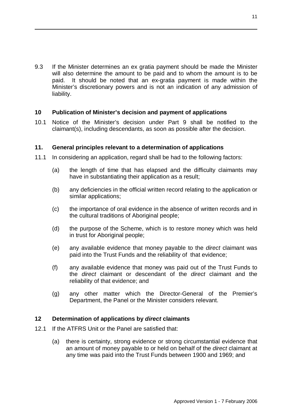9.3 If the Minister determines an ex gratia payment should be made the Minister will also determine the amount to be paid and to whom the amount is to be paid. It should be noted that an ex-gratia payment is made within the Minister's discretionary powers and is not an indication of any admission of liability.

#### **10 Publication of Minister's decision and payment of applications**

10.1 Notice of the Minister's decision under Part 9 shall be notified to the claimant(s), including descendants, as soon as possible after the decision.

#### **11. General principles relevant to a determination of applications**

- 11.1 In considering an application, regard shall be had to the following factors:
	- (a) the length of time that has elapsed and the difficulty claimants may have in substantiating their application as a result;
	- (b) any deficiencies in the official written record relating to the application or similar applications;
	- (c) the importance of oral evidence in the absence of written records and in the cultural traditions of Aboriginal people;
	- (d) the purpose of the Scheme, which is to restore money which was held in trust for Aboriginal people:
	- (e) any available evidence that money payable to the *direct* claimant was paid into the Trust Funds and the reliability of that evidence;
	- (f) any available evidence that money was paid out of the Trust Funds to the *direct* claimant or descendant of the *direct* claimant and the reliability of that evidence; and
	- (g) any other matter which the Director-General of the Premier's Department, the Panel or the Minister considers relevant.

#### **12 Determination of applications by** *direct* **claimants**

- 12.1 If the ATFRS Unit or the Panel are satisfied that:
	- (a) there is certainty, strong evidence or strong circumstantial evidence that an amount of money payable to or held on behalf of the *direct* claimant at any time was paid into the Trust Funds between 1900 and 1969; and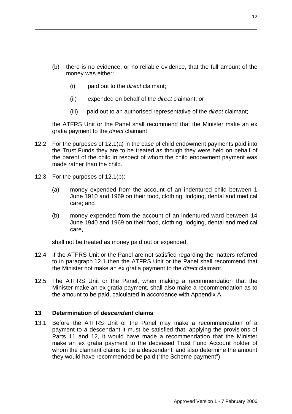- (b) there is no evidence, or no reliable evidence, that the full amount of the money was either:
	- (i) paid out to the *direct* claimant;
	- (ii) expended on behalf of the *direct* claimant; or
	- (iii) paid out to an authorised representative of the *direct* claimant;

the ATFRS Unit or the Panel shall recommend that the Minister make an ex gratia payment to the *direct* claimant.

- 12.2 For the purposes of 12.1(a) in the case of child endowment payments paid into the Trust Funds they are to be treated as though they were held on behalf of the parent of the child in respect of whom the child endowment payment was made rather than the child.
- 12.3 For the purposes of 12.1(b):
	- (a) money expended from the account of an indentured child between 1 June 1910 and 1969 on their food, clothing, lodging, dental and medical care; and
	- (b) money expended from the account of an indentured ward between 14 June 1940 and 1969 on their food, clothing, lodging, dental and medical care,

shall not be treated as money paid out or expended.

- 12.4 If the ATFRS Unit or the Panel are not satisfied regarding the matters referred to in paragraph 12.1 then the ATFRS Unit or the Panel shall recommend that the Minister not make an ex gratia payment to the *direct* claimant.
- 12.5 The ATFRS Unit or the Panel, when making a recommendation that the Minister make an ex gratia payment, shall also make a recommendation as to the amount to be paid, calculated in accordance with Appendix A.

#### **13 Determination of** *descendant* **claims**

13.1 Before the ATFRS Unit or the Panel may make a recommendation of a payment to a descendant it must be satisfied that, applying the provisions of Parts 11 and 12, it would have made a recommendation that the Minister make an ex gratia payment to the deceased Trust Fund Account holder of whom the claimant claims to be a descendant, and also determine the amount they would have recommended be paid ("the Scheme payment").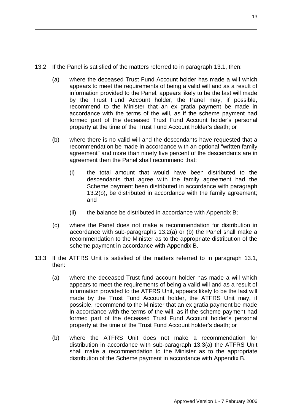13.2 If the Panel is satisfied of the matters referred to in paragraph 13.1, then:

- (a) where the deceased Trust Fund Account holder has made a will which appears to meet the requirements of being a valid will and as a result of information provided to the Panel, appears likely to be the last will made by the Trust Fund Account holder, the Panel may, if possible, recommend to the Minister that an ex gratia payment be made in accordance with the terms of the will, as if the scheme payment had formed part of the deceased Trust Fund Account holder's personal property at the time of the Trust Fund Account holder's death; or
- (b) where there is no valid will and the descendants have requested that a recommendation be made in accordance with an optional "written family agreement" and more than ninety five percent of the descendants are in agreement then the Panel shall recommend that:
	- (i) the total amount that would have been distributed to the descendants that agree with the family agreement had the Scheme payment been distributed in accordance with paragraph 13.2(b), be distributed in accordance with the family agreement; and
	- $(ii)$  the balance be distributed in accordance with Appendix B;
- (c) where the Panel does not make a recommendation for distribution in accordance with sub-paragraphs 13.2(a) or (b) the Panel shall make a recommendation to the Minister as to the appropriate distribution of the scheme payment in accordance with Appendix B.
- 13.3 If the ATFRS Unit is satisfied of the matters referred to in paragraph 13.1, then:
	- (a) where the deceased Trust fund account holder has made a will which appears to meet the requirements of being a valid will and as a result of information provided to the ATFRS Unit, appears likely to be the last will made by the Trust Fund Account holder, the ATFRS Unit may, if possible, recommend to the Minister that an ex gratia payment be made in accordance with the terms of the will, as if the scheme payment had formed part of the deceased Trust Fund Account holder's personal property at the time of the Trust Fund Account holder's death; or
	- (b) where the ATFRS Unit does not make a recommendation for distribution in accordance with sub-paragraph 13.3(a) the ATFRS Unit shall make a recommendation to the Minister as to the appropriate distribution of the Scheme payment in accordance with Appendix B.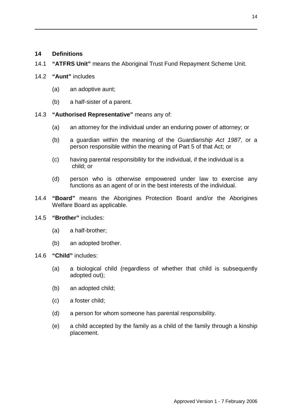### **14 Definitions**

14.1 **"ATFRS Unit"** means the Aboriginal Trust Fund Repayment Scheme Unit.

#### 14.2 **"Aunt"** includes

- (a) an adoptive aunt;
- (b) a half-sister of a parent.
- 14.3 **"Authorised Representative"** means any of:
	- (a) an attorney for the individual under an enduring power of attorney; or
	- (b) a guardian within the meaning of the *Guardianship Act 1987*, or a person responsible within the meaning of Part 5 of that Act; or
	- (c) having parental responsibility for the individual, if the individual is a child; or
	- (d) person who is otherwise empowered under law to exercise any functions as an agent of or in the best interests of the individual.
- 14.4 **"Board"** means the Aborigines Protection Board and/or the Aborigines Welfare Board as applicable.
- 14.5 **"Brother"** includes:
	- (a) a half-brother;
	- (b) an adopted brother.
- 14.6 **"Child"** includes:
	- (a) a biological child (regardless of whether that child is subsequently adopted out);
	- (b) an adopted child;
	- (c) a foster child;
	- (d) a person for whom someone has parental responsibility.
	- (e) a child accepted by the family as a child of the family through a kinship placement.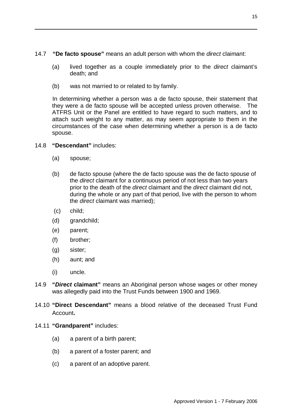- 14.7 **"De facto spouse"** means an adult person with whom the *direct* claimant:
	- (a) lived together as a couple immediately prior to the *direct* claimant's death; and
	- (b) was not married to or related to by family.

In determining whether a person was a de facto spouse, their statement that they were a de facto spouse will be accepted unless proven otherwise. The ATFRS Unit or the Panel are entitled to have regard to such matters, and to attach such weight to any matter, as may seem appropriate to them in the circumstances of the case when determining whether a person is a de facto spouse.

#### 14.8 **"Descendant"** includes:

- (a) spouse;
- (b) de facto spouse (where the de facto spouse was the de facto spouse of the *direct* claimant for a continuous period of not less than two years prior to the death of the *direct* claimant and the *direct* claimant did not, during the whole or any part of that period, live with the person to whom the *direct* claimant was married);
- (c) child;
- (d) grandchild;
- (e) parent;
- (f) brother;
- (g) sister;
- (h) aunt; and
- (i) uncle.
- 14.9 **"***Direct* **claimant"** means an Aboriginal person whose wages or other money was allegedly paid into the Trust Funds between 1900 and 1969.
- 14.10 **"Direct Descendant"** means a blood relative of the deceased Trust Fund Account**.**
- 14.11 **"Grandparent"** includes:
	- (a) a parent of a birth parent;
	- (b) a parent of a foster parent; and
	- (c) a parent of an adoptive parent.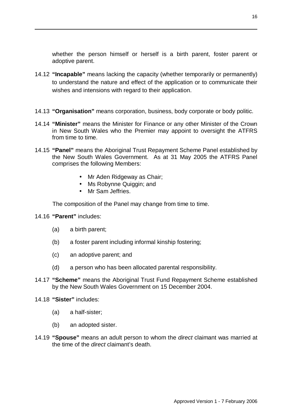whether the person himself or herself is a birth parent, foster parent or adoptive parent.

- 14.12 **"Incapable"** means lacking the capacity (whether temporarily or permanently) to understand the nature and effect of the application or to communicate their wishes and intensions with regard to their application.
- 14.13 **"Organisation"** means corporation, business, body corporate or body politic.
- 14.14 **"Minister"** means the Minister for Finance or any other Minister of the Crown in New South Wales who the Premier may appoint to oversight the ATFRS from time to time.
- 14.15 **"Panel"** means the Aboriginal Trust Repayment Scheme Panel established by the New South Wales Government. As at 31 May 2005 the ATFRS Panel comprises the following Members:
	- Mr Aden Ridgeway as Chair;
	- Ms Robynne Quiggin; and
	- Mr Sam Jeffries.

The composition of the Panel may change from time to time.

- 14.16 **"Parent"** includes:
	- (a) a birth parent;
	- (b) a foster parent including informal kinship fostering;
	- (c) an adoptive parent; and
	- (d) a person who has been allocated parental responsibility.
- 14.17 **"Scheme"** means the Aboriginal Trust Fund Repayment Scheme established by the New South Wales Government on 15 December 2004.
- 14.18 **"Sister"** includes:
	- (a) a half-sister;
	- (b) an adopted sister.
- 14.19 **"Spouse"** means an adult person to whom the *direct* claimant was married at the time of the *direct* claimant's death.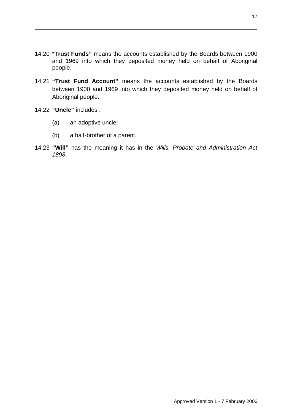- 14.20 **"Trust Funds"** means the accounts established by the Boards between 1900 and 1969 into which they deposited money held on behalf of Aboriginal people.
- 14.21 **"Trust Fund Account"** means the accounts established by the Boards between 1900 and 1969 into which they deposited money held on behalf of Aboriginal people.
- 14.22 **"Uncle"** includes :
	- (a) an adoptive uncle;
	- (b) a half-brother of a parent.
- 14.23 **"Will"** has the meaning it has in the *Wills, Probate and Administration Act 1898*.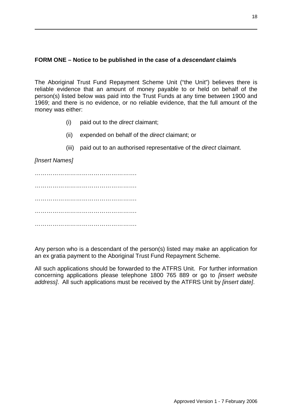# **FORM ONE – Notice to be published in the case of a** *descendant* **claim/s**

The Aboriginal Trust Fund Repayment Scheme Unit ("the Unit") believes there is reliable evidence that an amount of money payable to or held on behalf of the person(s) listed below was paid into the Trust Funds at any time between 1900 and 1969; and there is no evidence, or no reliable evidence, that the full amount of the money was either:

- (i) paid out to the *direct* claimant;
- (ii) expended on behalf of the *direct* claimant; or
- (iii) paid out to an authorised representative of the *direct* claimant.

*[Insert Names]* 

……………………………………………. ……………………………………………. ……………………………………………. ……………………………………………. …………………………………………….

Any person who is a descendant of the person(s) listed may make an application for an ex gratia payment to the Aboriginal Trust Fund Repayment Scheme.

All such applications should be forwarded to the ATFRS Unit. For further information concerning applications please telephone 1800 765 889 or go to *[insert website address]*. All such applications must be received by the ATFRS Unit by *[insert date]*.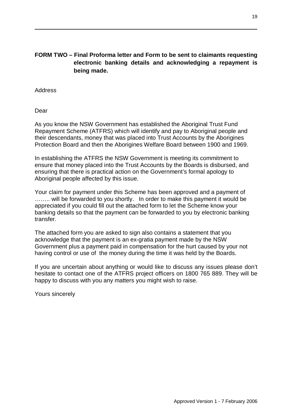# **FORM TWO – Final Proforma letter and Form to be sent to claimants requesting electronic banking details and acknowledging a repayment is being made.**

#### Address

Dear

As you know the NSW Government has established the Aboriginal Trust Fund Repayment Scheme (ATFRS) which will identify and pay to Aboriginal people and their descendants, money that was placed into Trust Accounts by the Aborigines Protection Board and then the Aborigines Welfare Board between 1900 and 1969.

In establishing the ATFRS the NSW Government is meeting its commitment to ensure that money placed into the Trust Accounts by the Boards is disbursed, and ensuring that there is practical action on the Government's formal apology to Aboriginal people affected by this issue.

Your claim for payment under this Scheme has been approved and a payment of ........ will be forwarded to you shortly. In order to make this payment it would be appreciated if you could fill out the attached form to let the Scheme know your banking details so that the payment can be forwarded to you by electronic banking transfer.

The attached form you are asked to sign also contains a statement that you acknowledge that the payment is an ex-gratia payment made by the NSW Government plus a payment paid in compensation for the hurt caused by your not having control or use of the money during the time it was held by the Boards.

If you are uncertain about anything or would like to discuss any issues please don't hesitate to contact one of the ATFRS project officers on 1800 765 889. They will be happy to discuss with you any matters you might wish to raise.

Yours sincerely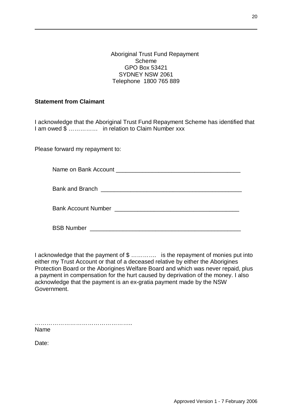#### Aboriginal Trust Fund Repayment Scheme GPO Box 53421 SYDNEY NSW 2061 Telephone 1800 765 889

#### **Statement from Claimant**

I acknowledge that the Aboriginal Trust Fund Repayment Scheme has identified that I am owed  $\overline{\mathbb{S}}$  ............... in relation to Claim Number xxx

Please forward my repayment to:

Name on Bank Account \_\_\_\_\_\_\_\_\_\_\_\_\_\_\_\_\_\_\_\_\_\_\_\_\_\_\_\_\_\_\_\_\_\_\_\_\_\_

Bank and Branch \_\_\_\_\_\_\_\_\_\_\_\_\_\_\_\_\_\_\_\_\_\_\_\_\_\_\_\_\_\_\_\_\_\_\_\_\_\_\_\_\_\_\_

Bank Account Number \_\_\_\_\_\_\_\_\_\_\_\_\_\_\_\_\_\_\_\_\_\_\_\_\_\_\_\_\_\_\_\_\_\_\_\_\_\_

BSB Number \_\_\_\_\_\_\_\_\_\_\_\_\_\_\_\_\_\_\_\_\_\_\_\_\_\_\_\_\_\_\_\_\_\_\_\_\_\_\_\_\_\_\_\_\_\_

I acknowledge that the payment of \$ .............. is the repayment of monies put into either my Trust Account or that of a deceased relative by either the Aborigines Protection Board or the Aborigines Welfare Board and which was never repaid, plus a payment in compensation for the hurt caused by deprivation of the money. I also acknowledge that the payment is an ex-gratia payment made by the NSW Government.

Name

Date: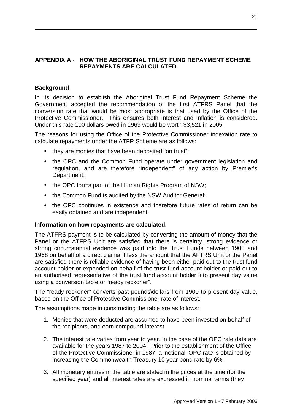## **APPENDIX A - HOW THE ABORIGINAL TRUST FUND REPAYMENT SCHEME REPAYMENTS ARE CALCULATED.**

#### **Background**

In its decision to establish the Aboriginal Trust Fund Repayment Scheme the Government accepted the recommendation of the first ATFRS Panel that the conversion rate that would be most appropriate is that used by the Office of the Protective Commissioner. This ensures both interest and inflation is considered. Under this rate 100 dollars owed in 1969 would be worth \$3,521 in 2005.

The reasons for using the Office of the Protective Commissioner indexation rate to calculate repayments under the ATFR Scheme are as follows:

- they are monies that have been deposited "on trust";
- the OPC and the Common Fund operate under government legislation and regulation, and are therefore "independent" of any action by Premier's Department;
- the OPC forms part of the Human Rights Program of NSW;
- the Common Fund is audited by the NSW Auditor General;
- the OPC continues in existence and therefore future rates of return can be easily obtained and are independent.

#### **Information on how repayments are calculated.**

The ATFRS payment is to be calculated by converting the amount of money that the Panel or the ATFRS Unit are satisfied that there is certainty, strong evidence or strong circumstantial evidence was paid into the Trust Funds between 1900 and 1968 on behalf of a direct claimant less the amount that the AFTRS Unit or the Panel are satisfied there is reliable evidence of having been either paid out to the trust fund account holder or expended on behalf of the trust fund account holder or paid out to an authorised representative of the trust fund account holder into present day value using a conversion table or "ready reckoner".

The "ready reckoner" converts past pounds\dollars from 1900 to present day value, based on the Office of Protective Commissioner rate of interest.

The assumptions made in constructing the table are as follows:

- 1. Monies that were deducted are assumed to have been invested on behalf of the recipients, and earn compound interest.
- 2. The interest rate varies from year to year. In the case of the OPC rate data are available for the years 1987 to 2004. Prior to the establishment of the Office of the Protective Commissioner in 1987, a 'notional' OPC rate is obtained by increasing the Commonwealth Treasury 10 year bond rate by 6%.
- 3. All monetary entries in the table are stated in the prices at the time (for the specified year) and all interest rates are expressed in nominal terms (they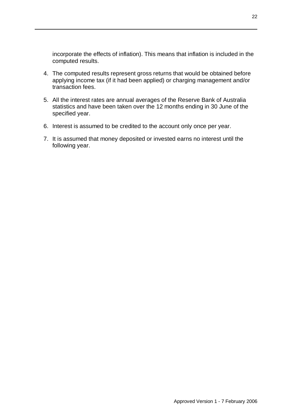incorporate the effects of inflation). This means that inflation is included in the computed results.

- 4. The computed results represent gross returns that would be obtained before applying income tax (if it had been applied) or charging management and/or transaction fees.
- 5. All the interest rates are annual averages of the Reserve Bank of Australia statistics and have been taken over the 12 months ending in 30 June of the specified year.
- 6. Interest is assumed to be credited to the account only once per year.
- 7. It is assumed that money deposited or invested earns no interest until the following year.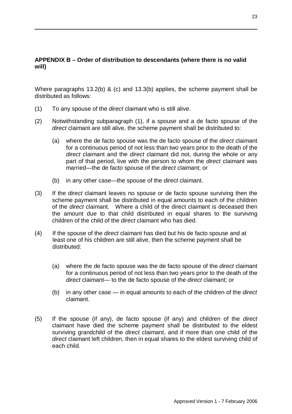# **APPENDIX B – Order of distribution to descendants (where there is no valid will)**

Where paragraphs 13.2(b) & (c) and 13.3(b) applies, the scheme payment shall be distributed as follows:

- (1) To any spouse of the *direct* claimant who is still alive.
- (2) Notwithstanding subparagraph (1), if a spouse and a de facto spouse of the *direct* claimant are still alive, the scheme payment shall be distributed to:
	- (a) where the de facto spouse was the de facto spouse of the *direct* claimant for a continuous period of not less than two years prior to the death of the *direct* claimant and the *direct* claimant did not, during the whole or any part of that period, live with the person to whom the *direct* claimant was married—the de facto spouse of the *direct* claimant; or
	- (b) in any other case—the spouse of the *direct* claimant.
- (3) If the *direct* claimant leaves no spouse or de facto spouse surviving then the scheme payment shall be distributed in equal amounts to each of the children of the *direct* claimant. Where a child of the direct claimant is deceased then the amount due to that child distributed in equal shares to the surviving children of the child of the *direct* claimant who has died.
- (4) If the spouse of the *direct* claimant has died but his de facto spouse and at least one of his children are still alive, then the scheme payment shall be distributed:
	- (a) where the de facto spouse was the de facto spouse of the *direct* claimant for a continuous period of not less than two years prior to the death of the *direct* claimant— to the de facto spouse of the *direct* claimant; or
	- (b) in any other case in equal amounts to each of the children of the *direct*  claimant.
- (5) If the spouse (if any), de facto spouse (if any) and children of the *direct*  claimant have died the scheme payment shall be distributed to the eldest surviving grandchild of the *direct* claimant, and if more than one child of the *direct* claimant left children, then in equal shares to the eldest surviving child of each child.